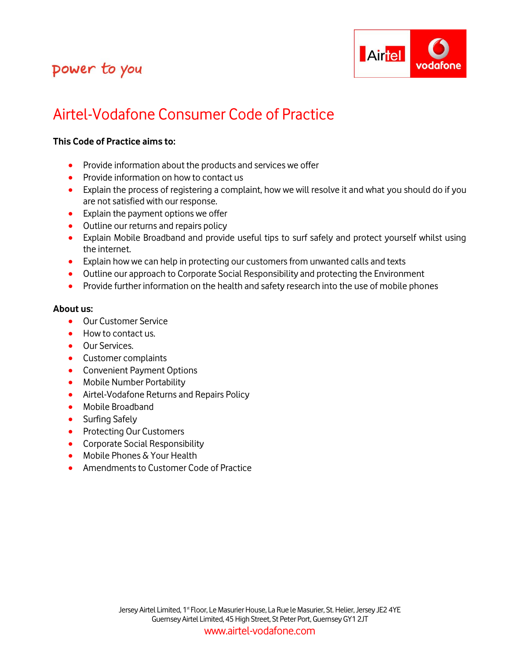

# Airtel-Vodafone Consumer Code of Practice

### **This Code of Practice aims to:**

- Provide information about the products and services we offer
- Provide information on how to contact us
- Explain the process of registering a complaint, how we will resolve it and what you should do if you are not satisfied with our response.
- Explain the payment options we offer
- Outline our returns and repairs policy
- Explain Mobile Broadband and provide useful tips to surf safely and protect yourself whilst using the internet.
- **Explain how we can help in protecting our customers from unwanted calls and texts**
- Outline our approach to Corporate Social Responsibility and protecting the Environment
- Provide further information on the health and safety research into the use of mobile phones

#### **About us:**

- Our Customer Service
- How to contact us.
- **Our Services.**
- Customer complaints
- Convenient Payment Options
- Mobile Number Portability
- Airtel-Vodafone Returns and Repairs Policy
- Mobile Broadband
- Surfing Safely
- Protecting Our Customers
- **•** Corporate Social Responsibility
- Mobile Phones & Your Health
- Amendments to Customer Code of Practice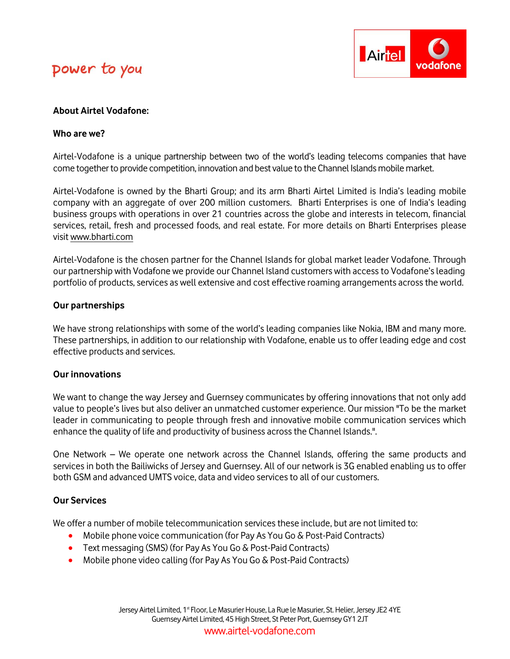

### **About Airtel Vodafone:**

#### **Who are we?**

Airtel-Vodafone is a unique partnership between two of the world's leading telecoms companies that have come together to provide competition, innovation and best value to the Channel Islands mobile market.

Airtel-Vodafone is owned by the Bharti Group; and its arm Bharti Airtel Limited is India's leading mobile company with an aggregate of over 200 million customers. Bharti Enterprises is one of India's leading business groups with operations in over 21 countries across the globe and interests in telecom, financial services, retail, fresh and processed foods, and real estate. For more details on Bharti Enterprises please visi[t www.bharti.com](http://www.bharti.com/)

Airtel-Vodafone is the chosen partner for the Channel Islands for global market leader Vodafone. Through our partnership with Vodafone we provide our Channel Island customers with access to Vodafone's leading portfolio of products, services as well extensive and cost effective roaming arrangements across the world.

#### **Our partnerships**

We have strong relationships with some of the world's leading companies like Nokia, IBM and many more. These partnerships, in addition to our relationship with Vodafone, enable us to offer leading edge and cost effective products and services.

#### **Our innovations**

We want to change the way Jersey and Guernsey communicates by offering innovations that not only add value to people's lives but also deliver an unmatched customer experience. Our mission "To be the market leader in communicating to people through fresh and innovative mobile communication services which enhance the quality of life and productivity of business across the Channel Islands.".

One Network – We operate one network across the Channel Islands, offering the same products and services in both the Bailiwicks of Jersey and Guernsey. All of our network is 3G enabled enabling us to offer both GSM and advanced UMTS voice, data and video services to all of our customers.

### **Our Services**

We offer a number of mobile telecommunication services these include, but are not limited to:

- Mobile phone voice communication (for Pay As You Go & Post-Paid Contracts)
- **•** Text messaging (SMS) (for Pay As You Go & Post-Paid Contracts)
- Mobile phone video calling (for Pay As You Go & Post-Paid Contracts)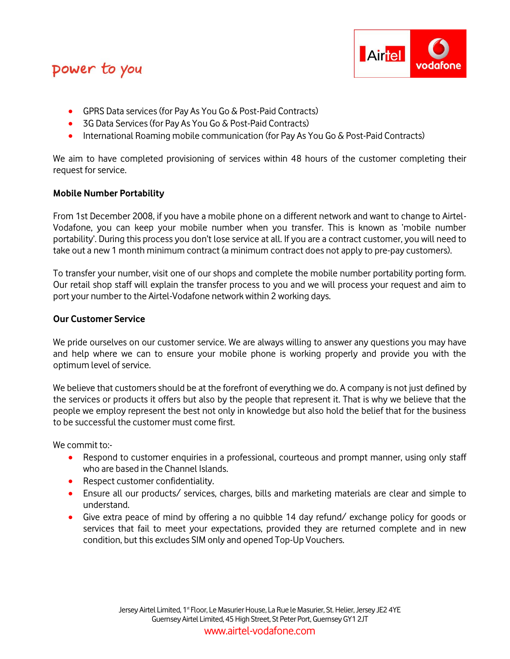

- **GPRS Data services (for Pay As You Go & Post-Paid Contracts)**
- 3G Data Services (for Pay As You Go & Post-Paid Contracts)
- International Roaming mobile communication (for Pay As You Go & Post-Paid Contracts)

We aim to have completed provisioning of services within 48 hours of the customer completing their request for service.

#### **Mobile Number Portability**

From 1st December 2008, if you have a mobile phone on a different network and want to change to Airtel-Vodafone, you can keep your mobile number when you transfer. This is known as 'mobile number portability'. During this process you don't lose service at all. If you are a contract customer, you will need to take out a new 1 month minimum contract (a minimum contract does not apply to pre-pay customers).

To transfer your number, visit one of our shops and complete the mobile number portability porting form. Our retail shop staff will explain the transfer process to you and we will process your request and aim to port your number to the Airtel-Vodafone network within 2 working days.

#### **Our Customer Service**

We pride ourselves on our customer service. We are always willing to answer any questions you may have and help where we can to ensure your mobile phone is working properly and provide you with the optimum level of service.

We believe that customers should be at the forefront of everything we do. A company is not just defined by the services or products it offers but also by the people that represent it. That is why we believe that the people we employ represent the best not only in knowledge but also hold the belief that for the business to be successful the customer must come first.

We commit to:-

- Respond to customer enquiries in a professional, courteous and prompt manner, using only staff who are based in the Channel Islands.
- Respect customer confidentiality.
- Ensure all our products/ services, charges, bills and marketing materials are clear and simple to understand.
- Give extra peace of mind by offering a no quibble 14 day refund/ exchange policy for goods or services that fail to meet your expectations, provided they are returned complete and in new condition, but this excludes SIM only and opened Top-Up Vouchers.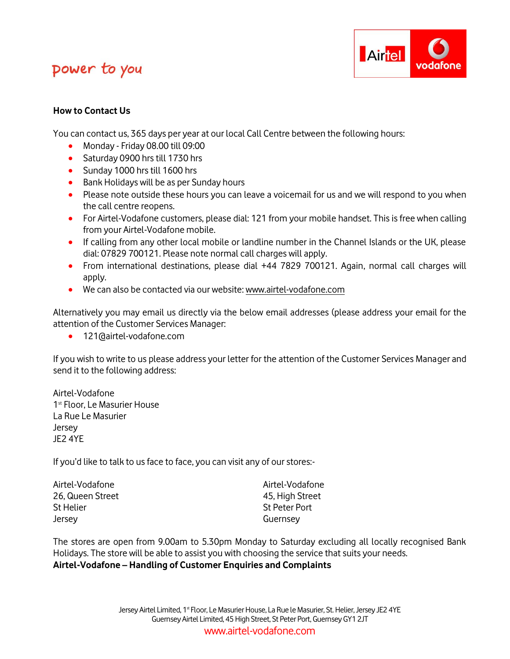

### **How to Contact Us**

You can contact us, 365 days per year at our local Call Centre between the following hours:

- Monday Friday 08.00 till 09:00
- Saturday 0900 hrs till 1730 hrs
- Sunday 1000 hrs till 1600 hrs
- Bank Holidays will be as per Sunday hours
- Please note outside these hours you can leave a voicemail for us and we will respond to you when the call centre reopens.
- For Airtel-Vodafone customers, please dial: 121 from your mobile handset. This is free when calling from your Airtel-Vodafone mobile.
- If calling from any other local mobile or landline number in the Channel Islands or the UK, please dial: 07829 700121. Please note normal call charges will apply.
- From international destinations, please dial +44 7829 700121. Again, normal call charges will apply.
- We can also be contacted via our website: [www.airtel-vodafone.com](http://www.airtel-vodafone.com/)

Alternatively you may email us directly via the below email addresses (please address your email for the attention of the Customer Services Manager:

121@airtel-vodafone.com

If you wish to write to us please address your letter for the attention of the Customer Services Manager and send it to the following address:

Airtel-Vodafone 1<sup>st</sup> Floor, Le Masurier House La Rue Le Masurier Jersey JE2 4YE

If you'd like to talk to us face to face, you can visit any of our stores:-

Airtel-Vodafone Airtel-Vodafone 26, Queen Street **1986** 2008 120, High Street St Helier St Peter Port Jersey Guernsey

The stores are open from 9.00am to 5.30pm Monday to Saturday excluding all locally recognised Bank Holidays. The store will be able to assist you with choosing the service that suits your needs. **Airtel-Vodafone – Handling of Customer Enquiries and Complaints**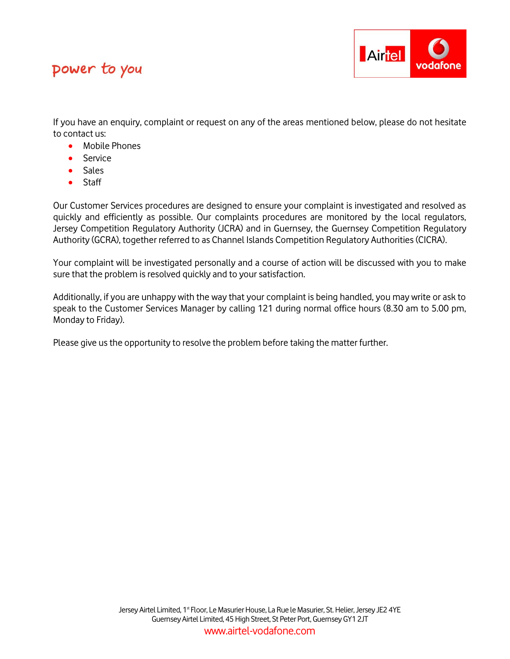

If you have an enquiry, complaint or request on any of the areas mentioned below, please do not hesitate to contact us:

- Mobile Phones
- Service
- Sales
- Staff

Our Customer Services procedures are designed to ensure your complaint is investigated and resolved as quickly and efficiently as possible. Our complaints procedures are monitored by the local regulators, Jersey Competition Regulatory Authority (JCRA) and in Guernsey, the Guernsey Competition Regulatory Authority (GCRA), together referred to as Channel Islands Competition Regulatory Authorities (CICRA).

Your complaint will be investigated personally and a course of action will be discussed with you to make sure that the problem is resolved quickly and to your satisfaction.

Additionally, if you are unhappy with the way that your complaint is being handled, you may write or ask to speak to the Customer Services Manager by calling 121 during normal office hours (8.30 am to 5.00 pm, Monday to Friday).

Please give us the opportunity to resolve the problem before taking the matter further.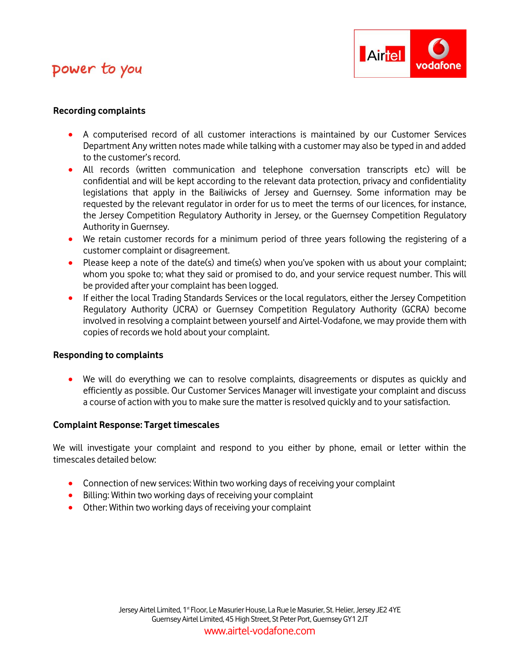

#### **Recording complaints**

- A computerised record of all customer interactions is maintained by our Customer Services Department Any written notes made while talking with a customer may also be typed in and added to the customer's record.
- All records (written communication and telephone conversation transcripts etc) will be confidential and will be kept according to the relevant data protection, privacy and confidentiality legislations that apply in the Bailiwicks of Jersey and Guernsey. Some information may be requested by the relevant regulator in order for us to meet the terms of our licences, for instance, the Jersey Competition Regulatory Authority in Jersey, or the Guernsey Competition Regulatory Authority in Guernsey.
- We retain customer records for a minimum period of three years following the registering of a customer complaint or disagreement.
- Please keep a note of the date(s) and time(s) when you've spoken with us about your complaint; whom you spoke to; what they said or promised to do, and your service request number. This will be provided after your complaint has been logged.
- If either the local Trading Standards Services or the local regulators, either the Jersey Competition Regulatory Authority (JCRA) or Guernsey Competition Regulatory Authority (GCRA) become involved in resolving a complaint between yourself and Airtel-Vodafone, we may provide them with copies of records we hold about your complaint.

#### **Responding to complaints**

 We will do everything we can to resolve complaints, disagreements or disputes as quickly and efficiently as possible. Our Customer Services Manager will investigate your complaint and discuss a course of action with you to make sure the matter is resolved quickly and to your satisfaction.

#### **Complaint Response: Target timescales**

We will investigate your complaint and respond to you either by phone, email or letter within the timescales detailed below:

- Connection of new services: Within two working days of receiving your complaint
- Billing: Within two working days of receiving your complaint
- Other: Within two working days of receiving your complaint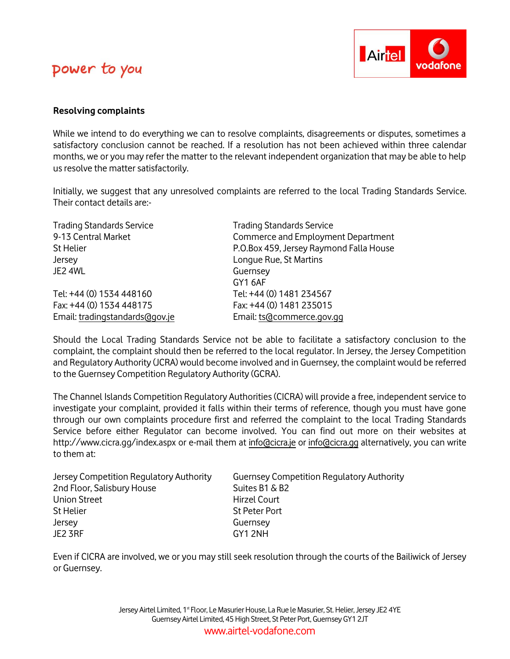

#### **Resolving complaints**

While we intend to do everything we can to resolve complaints, disagreements or disputes, sometimes a satisfactory conclusion cannot be reached. If a resolution has not been achieved within three calendar months, we or you may refer the matter to the relevant independent organization that may be able to help us resolve the matter satisfactorily.

Initially, we suggest that any unresolved complaints are referred to the local Trading Standards Service. Their contact details are:-

| <b>Trading Standards Service</b><br>9-13 Central Market | <b>Trading Standards Service</b><br>Commerce and Employment Department |
|---------------------------------------------------------|------------------------------------------------------------------------|
| St Helier                                               | P.O.Box 459, Jersey Raymond Falla House                                |
| Jersey                                                  | Longue Rue, St Martins                                                 |
| JE2 4WL                                                 | Guernsey                                                               |
|                                                         | GY16AF                                                                 |
| Tel: +44 (0) 1534 448160                                | Tel: +44 (0) 1481 234567                                               |
| Fax: +44 (0) 1534 448175                                | Fax: +44 (0) 1481 235015                                               |
| Email: tradingstandards@gov.je                          | Email: ts@commerce.gov.gg                                              |

Should the Local Trading Standards Service not be able to facilitate a satisfactory conclusion to the complaint, the complaint should then be referred to the local regulator. In Jersey, the Jersey Competition and Regulatory Authority (JCRA) would become involved and in Guernsey, the complaint would be referred to the Guernsey Competition Regulatory Authority (GCRA).

The Channel Islands Competition Regulatory Authorities (CICRA) will provide a free, independent service to investigate your complaint, provided it falls within their terms of reference, though you must have gone through our own complaints procedure first and referred the complaint to the local Trading Standards Service before either Regulator can become involved. You can find out more on their websites at http://www.cicra.gg/index.aspx or e-mail them at [info@cicra.je](mailto:info@cicra.je) or [info@cicra.gg](mailto:info@cicra.gg) alternatively, you can write to them at:

| Jersey Competition Regulatory Authority | <b>Guernsey Competition Regulatory Authority</b> |
|-----------------------------------------|--------------------------------------------------|
| 2nd Floor, Salisbury House              | Suites B1 & B2                                   |
| Union Street                            | Hirzel Court                                     |
| St Helier                               | St Peter Port                                    |
| Jersey                                  | Guernsey                                         |
| JE2 3RF                                 | GY12NH                                           |

Even if CICRA are involved, we or you may still seek resolution through the courts of the Bailiwick of Jersey or Guernsey.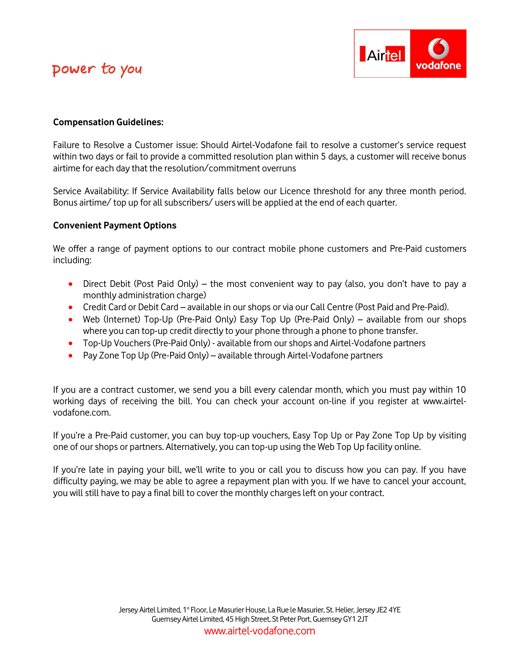

### **Compensation Guidelines:**

Failure to Resolve a Customer issue: Should Airtel-Vodafone fail to resolve a customer's service request within two days or fail to provide a committed resolution plan within 5 days, a customer will receive bonus airtime for each day that the resolution/commitment overruns

Service Availability: If Service Availability falls below our Licence threshold for any three month period. Bonus airtime/ top up for all subscribers/ users will be applied at the end of each quarter.

#### **Convenient Payment Options**

We offer a range of payment options to our contract mobile phone customers and Pre-Paid customers including:

- Direct Debit (Post Paid Only) the most convenient way to pay (also, you don't have to pay a monthly administration charge)
- Credit Card or Debit Card available in our shops or via our Call Centre (Post Paid and Pre-Paid).
- Web (Internet) Top-Up (Pre-Paid Only) Easy Top Up (Pre-Paid Only) available from our shops where you can top-up credit directly to your phone through a phone to phone transfer.
- Top-Up Vouchers (Pre-Paid Only) available from our shops and Airtel-Vodafone partners
- Pay Zone Top Up (Pre-Paid Only) available through Airtel-Vodafone partners

If you are a contract customer, we send you a bill every calendar month, which you must pay within 10 working days of receiving the bill. You can check your account on-line if you register at www.airtelvodafone.com.

If you're a Pre-Paid customer, you can buy top-up vouchers, Easy Top Up or Pay Zone Top Up by visiting one of our shops or partners. Alternatively, you can top-up using the Web Top Up facility online.

If you're late in paying your bill, we'll write to you or call you to discuss how you can pay. If you have difficulty paying, we may be able to agree a repayment plan with you. If we have to cancel your account, you will still have to pay a final bill to cover the monthly charges left on your contract.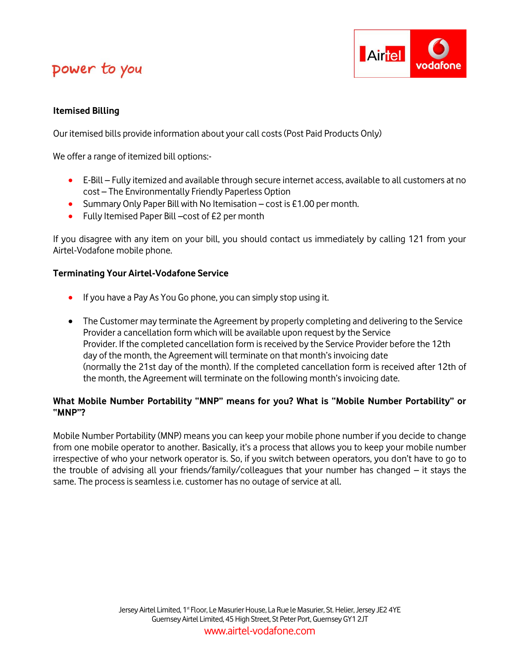

### **Itemised Billing**

Our itemised bills provide information about your call costs (Post Paid Products Only)

We offer a range of itemized bill options:-

- E-Bill Fully itemized and available through secure internet access, available to all customers at no cost – The Environmentally Friendly Paperless Option
- Summary Only Paper Bill with No Itemisation cost is £1.00 per month.
- Fully Itemised Paper Bill –cost of £2 per month

If you disagree with any item on your bill, you should contact us immediately by calling 121 from your Airtel-Vodafone mobile phone.

### **Terminating Your Airtel-Vodafone Service**

- **If you have a Pay As You Go phone, you can simply stop using it.**
- The Customer may terminate the Agreement by properly completing and delivering to the Service Provider a cancellation form which will be available upon request by the Service Provider. If the completed cancellation form is received by the Service Provider before the 12th day of the month, the Agreement will terminate on that month's invoicing date (normally the 21st day of the month). If the completed cancellation form is received after 12th of the month, the Agreement will terminate on the following month's invoicing date.

### **What Mobile Number Portability "MNP" means for you? What is "Mobile Number Portability" or "MNP"?**

Mobile Number Portability (MNP) means you can keep your mobile phone number if you decide to change from one mobile operator to another. Basically, it's a process that allows you to keep your mobile number irrespective of who your network operator is. So, if you switch between operators, you don't have to go to the trouble of advising all your friends/family/colleagues that your number has changed – it stays the same. The process is seamless i.e. customer has no outage of service at all.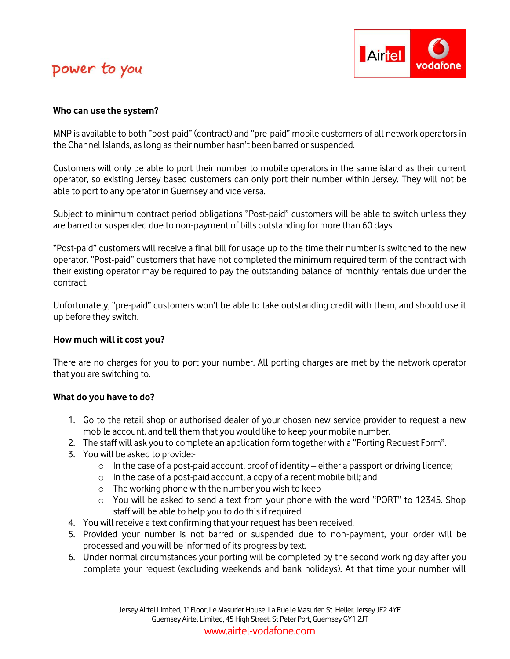

#### **Who can use the system?**

MNP is available to both "post-paid" (contract) and "pre-paid" mobile customers of all network operators in the Channel Islands, as long as their number hasn't been barred or suspended.

Customers will only be able to port their number to mobile operators in the same island as their current operator, so existing Jersey based customers can only port their number within Jersey. They will not be able to port to any operator in Guernsey and vice versa.

Subject to minimum contract period obligations "Post-paid" customers will be able to switch unless they are barred or suspended due to non-payment of bills outstanding for more than 60 days.

"Post-paid" customers will receive a final bill for usage up to the time their number is switched to the new operator. "Post-paid" customers that have not completed the minimum required term of the contract with their existing operator may be required to pay the outstanding balance of monthly rentals due under the contract.

Unfortunately, "pre-paid" customers won't be able to take outstanding credit with them, and should use it up before they switch.

### **How much will it cost you?**

There are no charges for you to port your number. All porting charges are met by the network operator that you are switching to.

#### **What do you have to do?**

- 1. Go to the retail shop or authorised dealer of your chosen new service provider to request a new mobile account, and tell them that you would like to keep your mobile number.
- 2. The staff will ask you to complete an application form together with a "Porting Request Form".
- 3. You will be asked to provide:-
	- $\circ$  In the case of a post-paid account, proof of identity either a passport or driving licence;
	- o In the case of a post-paid account, a copy of a recent mobile bill; and
	- o The working phone with the number you wish to keep
	- o You will be asked to send a text from your phone with the word "PORT" to 12345. Shop staff will be able to help you to do this if required
- 4. You will receive a text confirming that your request has been received.
- 5. Provided your number is not barred or suspended due to non-payment, your order will be processed and you will be informed of its progress by text.
- 6. Under normal circumstances your porting will be completed by the second working day after you complete your request (excluding weekends and bank holidays). At that time your number will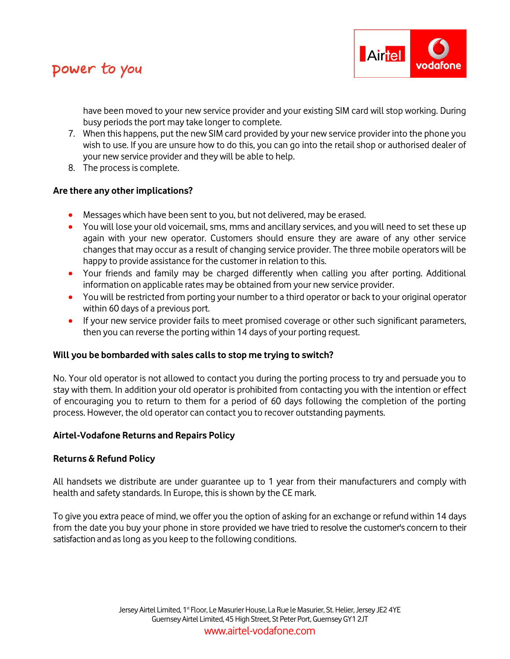

have been moved to your new service provider and your existing SIM card will stop working. During busy periods the port may take longer to complete.

- 7. When this happens, put the new SIM card provided by your new service provider into the phone you wish to use. If you are unsure how to do this, you can go into the retail shop or authorised dealer of your new service provider and they will be able to help.
- 8. The process is complete.

### **Are there any other implications?**

- Messages which have been sent to you, but not delivered, may be erased.
- You will lose your old voicemail, sms, mms and ancillary services, and you will need to set these up again with your new operator. Customers should ensure they are aware of any other service changes that may occur as a result of changing service provider. The three mobile operators will be happy to provide assistance for the customer in relation to this.
- Your friends and family may be charged differently when calling you after porting. Additional information on applicable rates may be obtained from your new service provider.
- You will be restricted from porting your number to a third operator or back to your original operator within 60 days of a previous port.
- If your new service provider fails to meet promised coverage or other such significant parameters, then you can reverse the porting within 14 days of your porting request.

#### **Will you be bombarded with sales calls to stop me trying to switch?**

No. Your old operator is not allowed to contact you during the porting process to try and persuade you to stay with them. In addition your old operator is prohibited from contacting you with the intention or effect of encouraging you to return to them for a period of 60 days following the completion of the porting process. However, the old operator can contact you to recover outstanding payments.

#### **Airtel-Vodafone Returns and Repairs Policy**

#### **Returns & Refund Policy**

All handsets we distribute are under guarantee up to 1 year from their manufacturers and comply with health and safety standards. In Europe, this is shown by the CE mark.

To give you extra peace of mind, we offer you the option of asking for an exchange or refund within 14 days from the date you buy your phone in store provided we have tried to resolve the customer's concern to their satisfaction and as long as you keep to the following conditions.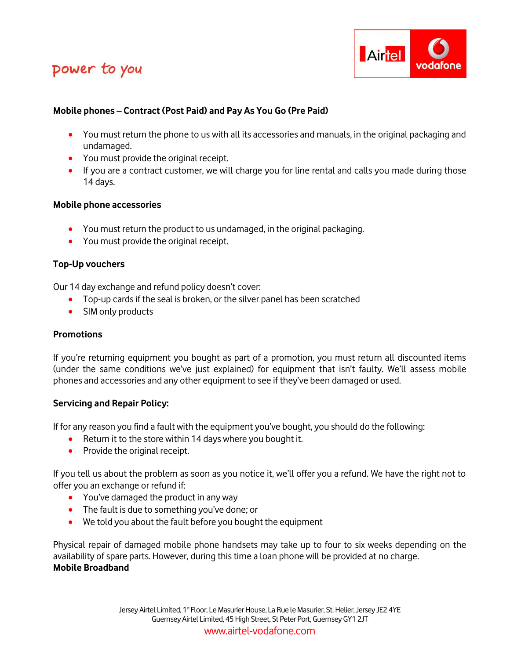

### **Mobile phones – Contract (Post Paid) and Pay As You Go (Pre Paid)**

- You must return the phone to us with all its accessories and manuals, in the original packaging and undamaged.
- You must provide the original receipt.
- If you are a contract customer, we will charge you for line rental and calls you made during those 14 days.

#### **Mobile phone accessories**

- You must return the product to us undamaged, in the original packaging.
- You must provide the original receipt.

### **Top-Up vouchers**

Our 14 day exchange and refund policy doesn't cover:

- Top-up cards if the seal is broken, or the silver panel has been scratched
- SIM only products

### **Promotions**

If you're returning equipment you bought as part of a promotion, you must return all discounted items (under the same conditions we've just explained) for equipment that isn't faulty. We'll assess mobile phones and accessories and any other equipment to see if they've been damaged or used.

### **Servicing and Repair Policy:**

If for any reason you find a fault with the equipment you've bought, you should do the following:

- Return it to the store within 14 days where you bought it.
- Provide the original receipt.

If you tell us about the problem as soon as you notice it, we'll offer you a refund. We have the right not to offer you an exchange or refund if:

- You've damaged the product in any way
- The fault is due to something you've done; or
- We told you about the fault before you bought the equipment

Physical repair of damaged mobile phone handsets may take up to four to six weeks depending on the availability of spare parts. However, during this time a loan phone will be provided at no charge. **Mobile Broadband**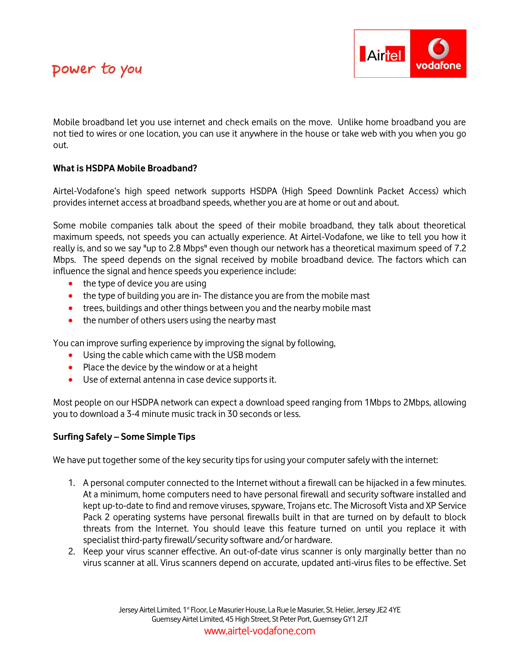



Mobile broadband let you use internet and check emails on the move. Unlike home broadband you are not tied to wires or one location, you can use it anywhere in the house or take web with you when you go out.

### **What is HSDPA Mobile Broadband?**

Airtel-Vodafone's high speed network supports HSDPA (High Speed Downlink Packet Access) which provides internet access at broadband speeds, whether you are at home or out and about.

Some mobile companies talk about the speed of their mobile broadband, they talk about theoretical maximum speeds, not speeds you can actually experience. At Airtel-Vodafone, we like to tell you how it really is, and so we say "up to 2.8 Mbps" even though our network has a theoretical maximum speed of 7.2 Mbps. The speed depends on the signal received by mobile broadband device. The factors which can influence the signal and hence speeds you experience include:

- the type of device you are using
- the type of building you are in-The distance you are from the mobile mast
- trees, buildings and other things between you and the nearby mobile mast
- the number of others users using the nearby mast

You can improve surfing experience by improving the signal by following,

- Using the cable which came with the USB modem
- Place the device by the window or at a height
- Use of external antenna in case device supports it.

Most people on our HSDPA network can expect a download speed ranging from 1Mbps to 2Mbps, allowing you to download a 3-4 minute music track in 30 seconds or less.

#### **Surfing Safely – Some Simple Tips**

We have put together some of the key security tips for using your computer safely with the internet:

- 1. A personal computer connected to the Internet without a firewall can be hijacked in a few minutes. At a minimum, home computers need to have personal firewall and security software installed and kept up-to-date to find and remove viruses, spyware, Trojans etc. The Microsoft Vista and XP Service Pack 2 operating systems have personal firewalls built in that are turned on by default to block threats from the Internet. You should leave this feature turned on until you replace it with specialist third-party firewall/security software and/or hardware.
- 2. Keep your virus scanner effective. An out-of-date virus scanner is only marginally better than no virus scanner at all. Virus scanners depend on accurate, updated anti-virus files to be effective. Set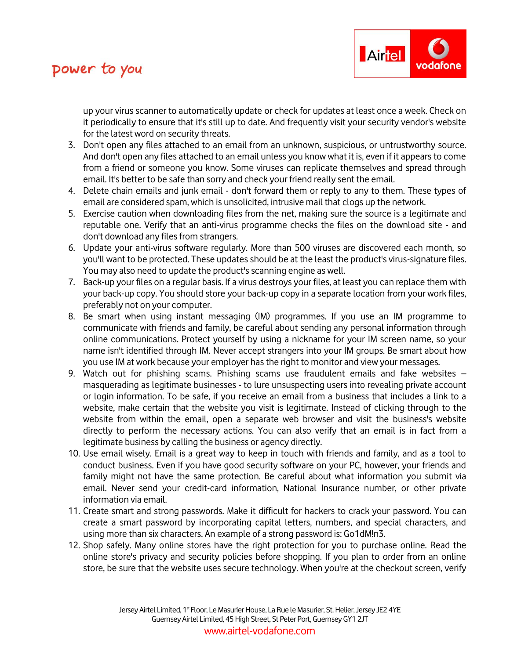

up your virus scanner to automatically update or check for updates at least once a week. Check on it periodically to ensure that it's still up to date. And frequently visit your security vendor's website for the latest word on security threats.

- 3. Don't open any files attached to an email from an unknown, suspicious, or untrustworthy source. And don't open any files attached to an email unless you know what it is, even if it appears to come from a friend or someone you know. Some viruses can replicate themselves and spread through email. It's better to be safe than sorry and check your friend really sent the email.
- 4. Delete chain emails and junk email don't forward them or reply to any to them. These types of email are considered spam, which is unsolicited, intrusive mail that clogs up the network.
- 5. Exercise caution when downloading files from the net, making sure the source is a legitimate and reputable one. Verify that an anti-virus programme checks the files on the download site - and don't download any files from strangers.
- 6. Update your anti-virus software regularly. More than 500 viruses are discovered each month, so you'll want to be protected. These updates should be at the least the product's virus-signature files. You may also need to update the product's scanning engine as well.
- 7. Back-up your files on a regular basis. If a virus destroys your files, at least you can replace them with your back-up copy. You should store your back-up copy in a separate location from your work files, preferably not on your computer.
- 8. Be smart when using instant messaging (IM) programmes. If you use an IM programme to communicate with friends and family, be careful about sending any personal information through online communications. Protect yourself by using a nickname for your IM screen name, so your name isn't identified through IM. Never accept strangers into your IM groups. Be smart about how you use IM at work because your employer has the right to monitor and view your messages.
- 9. Watch out for phishing scams. Phishing scams use fraudulent emails and fake websites masquerading as legitimate businesses - to lure unsuspecting users into revealing private account or login information. To be safe, if you receive an email from a business that includes a link to a website, make certain that the website you visit is legitimate. Instead of clicking through to the website from within the email, open a separate web browser and visit the business's website directly to perform the necessary actions. You can also verify that an email is in fact from a legitimate business by calling the business or agency directly.
- 10. Use email wisely. Email is a great way to keep in touch with friends and family, and as a tool to conduct business. Even if you have good security software on your PC, however, your friends and family might not have the same protection. Be careful about what information you submit via email. Never send your credit-card information, National Insurance number, or other private information via email.
- 11. Create smart and strong passwords. Make it difficult for hackers to crack your password. You can create a smart password by incorporating capital letters, numbers, and special characters, and using more than six characters. An example of a strong password is: Go1dM!n3.
- 12. Shop safely. Many online stores have the right protection for you to purchase online. Read the online store's privacy and security policies before shopping. If you plan to order from an online store, be sure that the website uses secure technology. When you're at the checkout screen, verify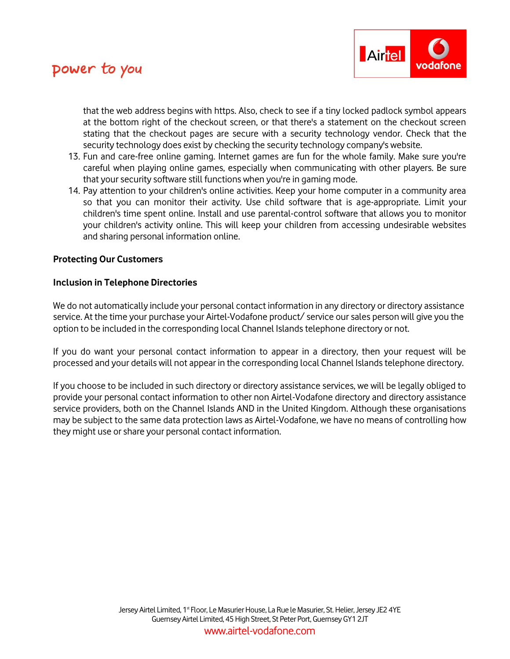

that the web address begins with https. Also, check to see if a tiny locked padlock symbol appears at the bottom right of the checkout screen, or that there's a statement on the checkout screen stating that the checkout pages are secure with a security technology vendor. Check that the security technology does exist by checking the security technology company's website.

- 13. Fun and care-free online gaming. Internet games are fun for the whole family. Make sure you're careful when playing online games, especially when communicating with other players. Be sure that your security software still functions when you're in gaming mode.
- 14. Pay attention to your children's online activities. Keep your home computer in a community area so that you can monitor their activity. Use child software that is age-appropriate. Limit your children's time spent online. Install and use parental-control software that allows you to monitor your children's activity online. This will keep your children from accessing undesirable websites and sharing personal information online.

#### **Protecting Our Customers**

#### **Inclusion in Telephone Directories**

We do not automatically include your personal contact information in any directory or directory assistance service. At the time your purchase your Airtel-Vodafone product/ service our sales person will give you the option to be included in the corresponding local Channel Islands telephone directory or not.

If you do want your personal contact information to appear in a directory, then your request will be processed and your details will not appear in the corresponding local Channel Islands telephone directory.

If you choose to be included in such directory or directory assistance services, we will be legally obliged to provide your personal contact information to other non Airtel-Vodafone directory and directory assistance service providers, both on the Channel Islands AND in the United Kingdom. Although these organisations may be subject to the same data protection laws as Airtel-Vodafone, we have no means of controlling how they might use or share your personal contact information.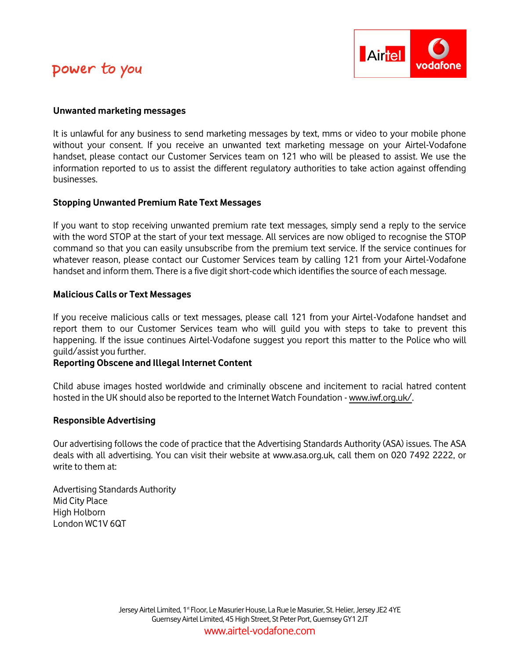

#### **Unwanted marketing messages**

It is unlawful for any business to send marketing messages by text, mms or video to your mobile phone without your consent. If you receive an unwanted text marketing message on your Airtel-Vodafone handset, please contact our Customer Services team on 121 who will be pleased to assist. We use the information reported to us to assist the different regulatory authorities to take action against offending businesses.

#### **Stopping Unwanted Premium Rate Text Messages**

If you want to stop receiving unwanted premium rate text messages, simply send a reply to the service with the word STOP at the start of your text message. All services are now obliged to recognise the STOP command so that you can easily unsubscribe from the premium text service. If the service continues for whatever reason, please contact our Customer Services team by calling 121 from your Airtel-Vodafone handset and inform them. There is a five digit short-code which identifies the source of each message.

#### **Malicious Calls or Text Messages**

If you receive malicious calls or text messages, please call 121 from your Airtel-Vodafone handset and report them to our Customer Services team who will guild you with steps to take to prevent this happening. If the issue continues Airtel-Vodafone suggest you report this matter to the Police who will guild/assist you further.

### **Reporting Obscene and Illegal Internet Content**

Child abuse images hosted worldwide and criminally obscene and incitement to racial hatred content hosted in the UK should also be reported to the Internet Watch Foundation - [www.iwf.org.uk/.](http://www.iwf.org.uk/)

#### **Responsible Advertising**

Our advertising follows the code of practice that the Advertising Standards Authority (ASA) issues. The ASA deals with all advertising. You can visit their website at www.asa.org.uk, call them on 020 7492 2222, or write to them at:

Advertising Standards Authority Mid City Place High Holborn London WC1V 6QT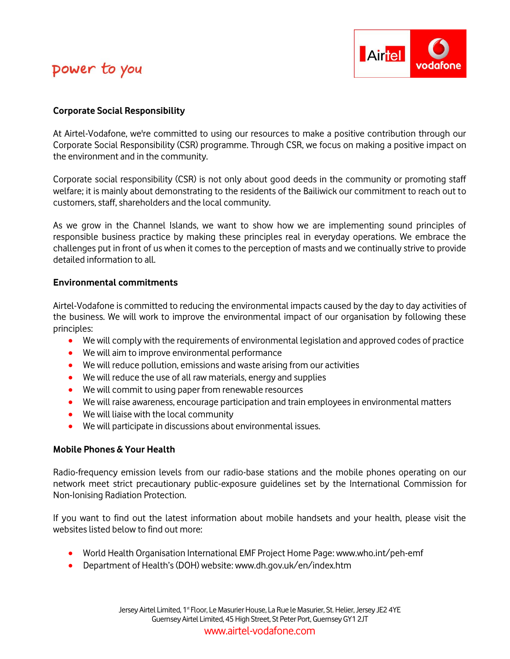

### **Corporate Social Responsibility**

At Airtel-Vodafone, we're committed to using our resources to make a positive contribution through our Corporate Social Responsibility (CSR) programme. Through CSR, we focus on making a positive impact on the environment and in the community.

Corporate social responsibility (CSR) is not only about good deeds in the community or promoting staff welfare; it is mainly about demonstrating to the residents of the Bailiwick our commitment to reach out to customers, staff, shareholders and the local community.

As we grow in the Channel Islands, we want to show how we are implementing sound principles of responsible business practice by making these principles real in everyday operations. We embrace the challenges put in front of us when it comes to the perception of masts and we continually strive to provide detailed information to all.

#### **Environmental commitments**

Airtel-Vodafone is committed to reducing the environmental impacts caused by the day to day activities of the business. We will work to improve the environmental impact of our organisation by following these principles:

- We will comply with the requirements of environmental legislation and approved codes of practice
- We will aim to improve environmental performance
- We will reduce pollution, emissions and waste arising from our activities
- We will reduce the use of all raw materials, energy and supplies
- We will commit to using paper from renewable resources
- We will raise awareness, encourage participation and train employees in environmental matters
- We will liaise with the local community
- We will participate in discussions about environmental issues.

### **Mobile Phones & Your Health**

Radio-frequency emission levels from our radio-base stations and the mobile phones operating on our network meet strict precautionary public-exposure guidelines set by the International Commission for Non-Ionising Radiation Protection.

If you want to find out the latest information about mobile handsets and your health, please visit the websites listed below to find out more:

- World Health Organisation International EMF Project Home Page: www.who.int/peh-emf
- Department of Health's (DOH) website: www.dh.gov.uk/en/index.htm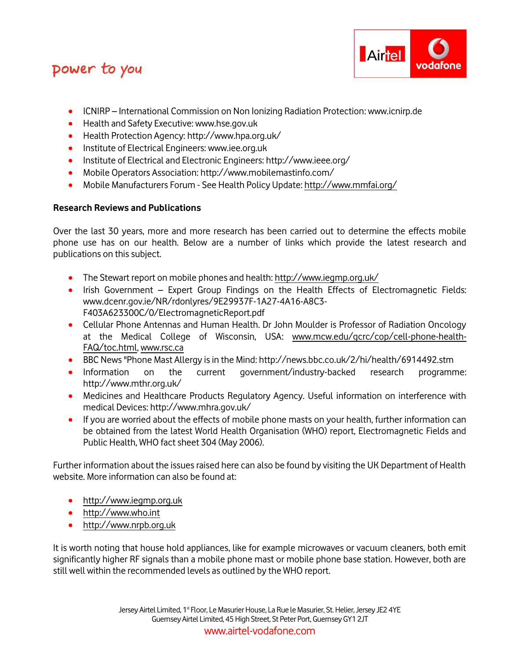

- ICNIRP International Commission on Non Ionizing Radiation Protection: www.icnirp.de
- **•** Health and Safety Executive: www.hse.gov.uk
- Health Protection Agency: http://www.hpa.org.uk/
- **•** Institute of Electrical Engineers: www.iee.org.uk
- Institute of Electrical and Electronic Engineers: http://www.ieee.org/
- Mobile Operators Association: http://www.mobilemastinfo.com/
- Mobile Manufacturers Forum See Health Policy Update[: http://www.mmfai.org/](http://www.mmfai.org/)

## **Research Reviews and Publications**

Over the last 30 years, more and more research has been carried out to determine the effects mobile phone use has on our health. Below are a number of links which provide the latest research and publications on this subject.

- The Stewart report on mobile phones and health:<http://www.iegmp.org.uk/>
- Irish Government Expert Group Findings on the Health Effects of Electromagnetic Fields: www.dcenr.gov.ie/NR/rdonlyres/9E29937F-1A27-4A16-A8C3- F403A623300C/0/ElectromagneticReport.pdf
- Cellular Phone Antennas and Human Health. Dr John Moulder is Professor of Radiation Oncology at the Medical College of Wisconsin, USA: [www.mcw.edu/gcrc/cop/cell-phone-health-](http://www.mcw.edu/gcrc/cop/cell-phone-health-FAQ/toc.html)[FAQ/toc.html,](http://www.mcw.edu/gcrc/cop/cell-phone-health-FAQ/toc.html) [www.rsc.ca](http://www.rsc.ca/)
- BBC News "Phone Mast Allergy is in the Mind: http://news.bbc.co.uk/2/hi/health/6914492.stm
- Information on the current government/industry-backed research programme: http://www.mthr.org.uk/
- Medicines and Healthcare Products Regulatory Agency. Useful information on interference with medical Devices: http://www.mhra.gov.uk/
- If you are worried about the effects of mobile phone masts on your health, further information can be obtained from the latest World Health Organisation (WHO) report, Electromagnetic Fields and Public Health, WHO fact sheet 304 (May 2006).

Further information about the issues raised here can also be found by visiting the UK Department of Health website. More information can also be found at:

- [http://www.iegmp.org.uk](http://www.iegmp.org.uk/)
- [http://www.who.int](http://www.who.int/)
- [http://www.nrpb.org.uk](http://www.nrpb.org.uk/)

It is worth noting that house hold appliances, like for example microwaves or vacuum cleaners, both emit significantly higher RF signals than a mobile phone mast or mobile phone base station. However, both are still well within the recommended levels as outlined by the WHO report.